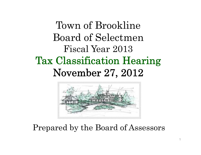## Town of Brookline Board of SelectmenFiscal Year 2013 Tax Classification Hearing November 27, 2012



### Prepared by the Board of Assessors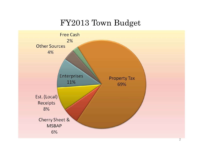#### FY2013 Town Budget

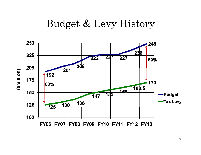### Budget & Levy History

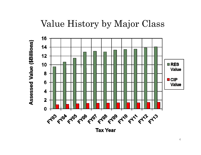### Value History by Major Class



4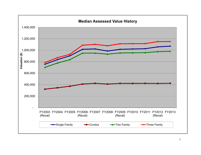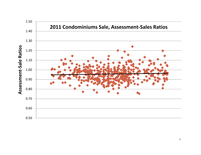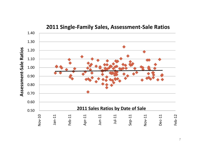

#### **2011 Single‐Family Sales, Assessment‐Sale Ratios**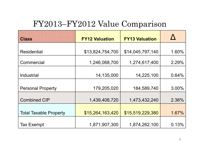### FY2013–FY2012 Value Comparison

| <b>Class</b>                  | <b>FY12 Valuation</b> | <b>FY13 Valuation</b> |       |
|-------------------------------|-----------------------|-----------------------|-------|
| <b>Residential</b>            | \$13,824,754,700      | \$14,045,797,140      | 1.60% |
| Commercial                    | 1,246,068,700         | 1,274,617,400         | 2.29% |
| Industrial                    | 14,135,000            | 14,225,100            | 0.64% |
|                               |                       |                       |       |
| <b>Personal Property</b>      | 179,205,020           | 184,589,740           | 3.00% |
| <b>Combined CIP</b>           | 1,439,408,720         | 1,473,432,240         | 2.36% |
| <b>Total Taxable Property</b> | \$15,264,163,420      | \$15,519,229,380      | 1.67% |
| <b>Tax Exempt</b>             | 1,871,907,300         | 1,874,262,100         | 0.13% |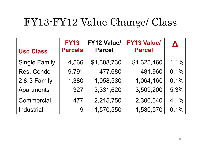## FY13-FY12 Value Change/ Class

| <b>Use Class</b>     | <b>FY13</b><br><b>Parcels</b> | <b>FY12 Value/</b><br><b>Parcel</b> | <b>FY13 Value/</b><br><b>Parcel</b> | $\boldsymbol{\Delta}$ |
|----------------------|-------------------------------|-------------------------------------|-------------------------------------|-----------------------|
| <b>Single Family</b> | 4,566                         | \$1,308,730                         | \$1,325,460                         | 1.1%                  |
| Res. Condo           | 9,791                         | 477,680                             | 481,960                             | 0.1%                  |
| 2 & 3 Family         | 1,380                         | 1,058,530                           | 1,064,160                           | 0.1%                  |
| <b>Apartments</b>    | 327                           | 3,331,620                           | 3,509,200                           | 5.3%                  |
| Commercial           | 477                           | 2,215,750                           | 2,306,540                           | 4.1%                  |
| <b>Industrial</b>    | 9                             | 1,570,550                           | 1,580,570                           | 0.1%                  |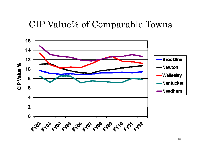#### CIP Value% of Com parable Towns

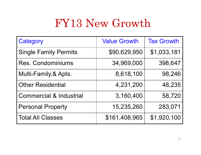# FY13 New Growth

| Category                           | <b>Value Growth</b> | <b>Tax Growth</b> |
|------------------------------------|---------------------|-------------------|
| <b>Single Family Permits</b>       | \$90,629,950        | \$1,033,181       |
| <b>Res. Condominiums</b>           | 34,969,000          | 398,647           |
| Multi-Family.& Apts.               | 8,618,100           | 98,246            |
| <b>Other Residential</b>           | 4,231,200           | 48,235            |
| <b>Commercial &amp; Industrial</b> | 3,160,400           | 58,720            |
| <b>Personal Property</b>           | 15,235,260          | 283,071           |
| <b>Total All Classes</b>           | \$161,408,965       | \$1,920,100       |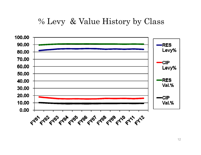#### % Levy & Value History by Class

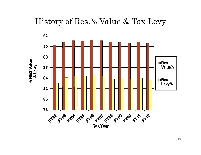

13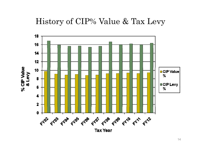#### History of CIP% Value & Tax Levy

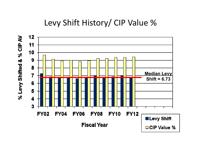### Levy Shift History/ CIP Value %

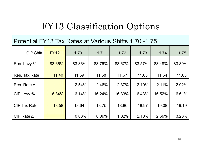### FY13 Classification Options

#### Potential FY13 Tax Rates at Various Shifts 1.70 -1.75

| <b>CIP Shift</b>    | <b>FY12</b> | 1.70   | 1.71   | 1.72   | 1.73   | 1.74   | 1.75   |
|---------------------|-------------|--------|--------|--------|--------|--------|--------|
| Res. Levy %         | 83.66%      | 83.86% | 83.76% | 83.67% | 83.57% | 83.48% | 83.39% |
| Res. Tax Rate       | 11.40       | 11.69  | 11.68  | 11.67  | 11.65  | 11.64  | 11.63  |
| Res. Rate $\Delta$  |             | 2.54%  | 2.46%  | 2.37%  | 2.19%  | 2.11%  | 2.02%  |
| CIP Levy %          | 16.34%      | 16.14% | 16.24% | 16.33% | 16.43% | 16.52% | 16.61% |
| <b>CIP Tax Rate</b> | 18.58       | 18.64  | 18.75  | 18.86  | 18.97  | 19.08  | 19.19  |
| CIP Rate $\Delta$   |             | 0.03%  | 0.09%  | 1.02%  | 2.10%  | 2.69%  | 3.28%  |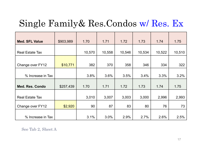### Single Family& Res.Condos w/ Res. Ex

| <b>Med. SFL Value</b>  | \$903,989 | 1.70   | 1.71   | 1.72   | 1.73   | 1.74   | 1.75   |
|------------------------|-----------|--------|--------|--------|--------|--------|--------|
|                        |           |        |        |        |        |        |        |
| <b>Real Estate Tax</b> |           | 10,570 | 10,558 | 10,546 | 10,534 | 10,522 | 10,510 |
|                        |           |        |        |        |        |        |        |
| Change over FY12       | \$10,771  | 382    | 370    | 358    | 346    | 334    | 322    |
|                        |           |        |        |        |        |        |        |
| % Increase in Tax      |           | 3.8%   | 3.6%   | 3.5%   | 3.4%   | 3.3%   | 3.2%   |
|                        |           |        |        |        |        |        |        |
| <b>Med. Res. Condo</b> | \$257,439 | 1.70   | 1.71   | 1.72   | 1.73   | 1.74   | 1.75   |
|                        |           |        |        |        |        |        |        |
| <b>Real Estate Tax</b> |           | 3,010  | 3,007  | 3,003  | 3,000  | 2,996  | 2,993  |
| Change over FY12       | \$2,920   | 90     | 87     | 83     | 80     | 76     | 73     |
|                        |           |        |        |        |        |        |        |
| % Increase in Tax      |           | 3.1%   | 3.0%   | 2.9%   | 2.7%   | 2.6%   | 2.5%   |

See Tab 2, Sheet A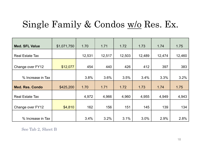### Single Family & Condos w/o Res. Ex.

| <b>Med. SFL Value</b>  | \$1,071,750 | 1.70   | 1.71   | 1.72   | 1.73   | 1.74   | 1.75   |
|------------------------|-------------|--------|--------|--------|--------|--------|--------|
| <b>Real Estate Tax</b> |             | 12,531 | 12,517 | 12,503 | 12,489 | 12,474 | 12,460 |
| Change over FY12       | \$12,077    | 454    | 440    | 426    | 412    | 397    | 383    |
| % Increase in Tax      |             | 3.8%   | 3.6%   | 3.5%   | 3.4%   | 3.3%   | 3.2%   |
| <b>Med. Res. Condo</b> | \$425,200   | 1.70   | 1.71   | 1.72   | 1.73   | 1.74   | 1.75   |
| <b>Real Estate Tax</b> |             | 4,972  | 4,966  | 4,960  | 4,955  | 4,949  | 4,943  |
| Change over FY12       | \$4,810     | 162    | 156    | 151    | 145    | 139    | 134    |
| % Increase in Tax      |             | 3.4%   | 3.2%   | 3.1%   | 3.0%   | 2.9%   | 2.8%   |

See Tab 2, Sheet B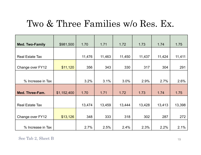### Two & Three Families w/o Res. Ex.

| <b>Med. Two-Family</b> | \$981,500   | 1.70   | 1.71   | 1.72   | 1.73   | 1.74   | 1.75   |
|------------------------|-------------|--------|--------|--------|--------|--------|--------|
|                        |             |        |        |        |        |        |        |
| <b>Real Estate Tax</b> |             | 11,476 | 11,463 | 11,450 | 11,437 | 11,424 | 11,411 |
|                        |             |        |        |        |        |        |        |
| Change over FY12       | \$11,120    | 356    | 343    | 330    | 317    | 304    | 291    |
|                        |             |        |        |        |        |        |        |
| % Increase in Tax      |             | 3.2%   | 3.1%   | 3.0%   | 2.9%   | 2.7%   | 2.6%   |
|                        |             |        |        |        |        |        |        |
| Med. Three-Fam.        | \$1,152,400 | 1.70   | 1.71   | 1.72   | 1.73   | 1.74   | 1.75   |
|                        |             |        |        |        |        |        |        |
| <b>Real Estate Tax</b> |             | 13,474 | 13,459 | 13,444 | 13,428 | 13,413 | 13,398 |
|                        |             |        |        |        |        |        |        |
| Change over FY12       | \$13,126    | 348    | 333    | 318    | 302    | 287    | 272    |
|                        |             |        |        |        |        |        |        |
| % Increase in Tax      |             | 2.7%   | 2.5%   | 2.4%   | 2.3%   | 2.2%   | 2.1%   |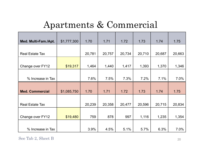### Apartments & Commercial

| Med. Multi-Fam./Apt.   | \$1,777,300 | 1.70   | 1.71   | 1.72   | 1.73   | 1.74   | 1.75   |
|------------------------|-------------|--------|--------|--------|--------|--------|--------|
|                        |             |        |        |        |        |        |        |
| <b>Real Estate Tax</b> |             | 20,781 | 20,757 | 20,734 | 20,710 | 20,687 | 20,663 |
|                        |             |        |        |        |        |        |        |
| Change over FY12       | \$19,317    | 1,464  | 1,440  | 1,417  | 1,393  | 1,370  | 1,346  |
|                        |             |        |        |        |        |        |        |
| % Increase in Tax      |             | 7.6%   | 7.5%   | 7.3%   | 7.2%   | 7.1%   | 7.0%   |
|                        |             |        |        |        |        |        |        |
| <b>Med. Commercial</b> | \$1,085,750 | 1.70   | 1.71   | 1.72   | 1.73   | 1.74   | 1.75   |
|                        |             |        |        |        |        |        |        |
| <b>Real Estate Tax</b> |             | 20,239 | 20,358 | 20,477 | 20,596 | 20,715 | 20,834 |
|                        |             |        |        |        |        |        |        |
| Change over FY12       | \$19,480    | 759    | 878    | 997    | 1,116  | 1,235  | 1,354  |
|                        |             |        |        |        |        |        |        |
| % Increase in Tax      |             | 3.9%   | 4.5%   | 5.1%   | 5.7%   | 6.3%   | 7.0%   |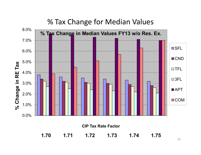#### % Tax Change for Median Values

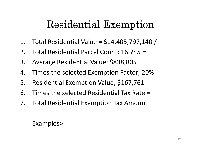## Residential Exem ption

- 1. Total Residential Value = $=$  \$14,405,797,140 /
- 2. Total Residential Parcel Count; 16,745 =
- 3. Average Residential Value; \$838,805
- 4. Times the selected Exemption Factor; 20% =
- 5. Residential Exemption Value; \$167,761
- 6. Times the selected Residential Tax Rate =
- 7. Total Residential Exemption Tax Amount

#### Exam ples>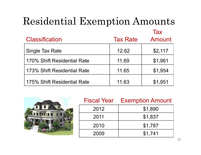# Residential Exemption Amounts

|                             |                 | <b>Tax</b> |
|-----------------------------|-----------------|------------|
| <b>Classification</b>       | <b>Tax Rate</b> | Amount     |
| <b>Single Tax Rate</b>      | 12.62           | \$2,117    |
| 170% Shift Residential Rate | 11.69           | \$1,961    |
| 173% Shift Residential Rate | 11.65           | \$1,954    |
| 175% Shift Residential Rate | 11.63           | \$1,951    |



| <b>Fiscal Year</b> | <b>Exemption Amount</b> |
|--------------------|-------------------------|
| 2012               | \$1,890                 |
| 2011               | \$1,837                 |
| 2010               | \$1,787                 |
| 2009               | \$1,741                 |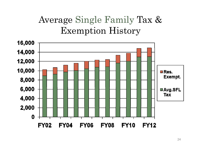## Average Single Family Tax & Exemption History

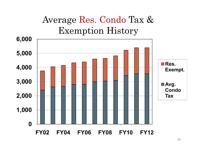## Average Res. Condo Tax & Exemption History

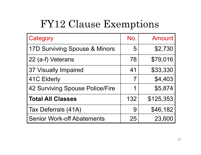## FY12 Clause Exem ptions

| Category                          | No.            | <b>Amount</b> |
|-----------------------------------|----------------|---------------|
| 17D Surviving Spouse & Minors     | 5              | \$2,730       |
| 22 (a-f) Veterans                 | 78             | \$79,016      |
| 37 Visually Impaired              | 41             | \$33,330      |
| 41C Elderly                       | $\overline{7}$ | \$4,403       |
| 42 Surviving Spouse Police/Fire   | 1              | \$5,874       |
| <b>Total All Classes</b>          | 132            | \$125,353     |
| Tax Deferrals (41A)               | 9              | \$46,182      |
| <b>Senior Work-off Abatements</b> | 25             | 23,600        |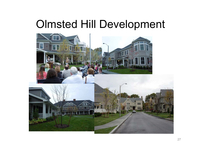## Olmsted Hill Develo pment